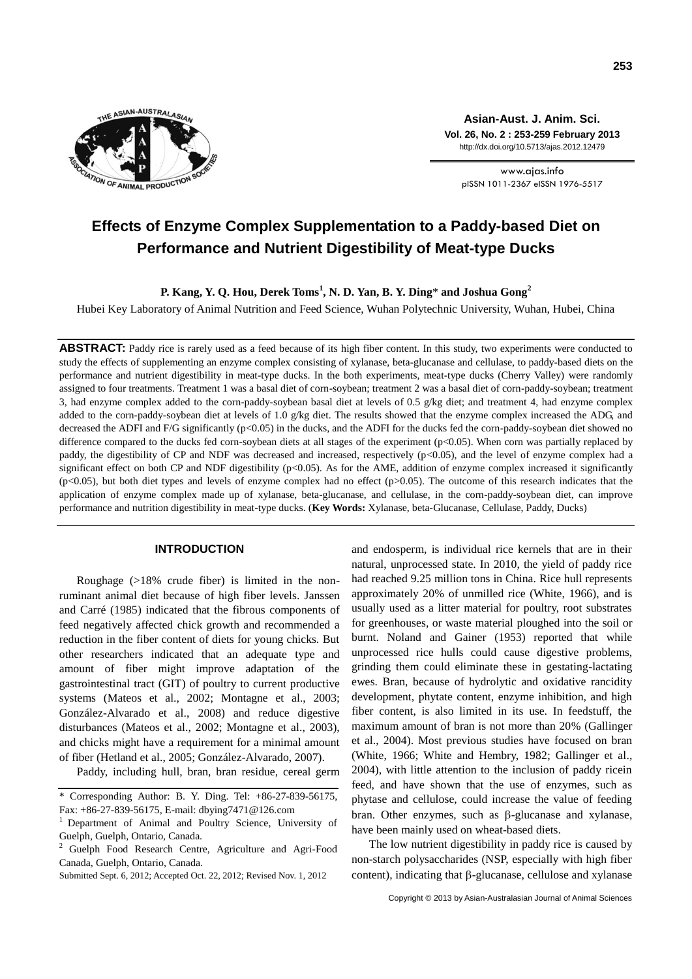

**Asian-Aust. J. Anim. Sci. Vol. 26, No. 2 : 253-259 February 2013** http://dx.doi.org/10.5713/ajas.2012.12479

www.ajas.info pISSN 1011-2367 eISSN 1976-5517

# **Effects of Enzyme Complex Supplementation to a Paddy-based Diet on Performance and Nutrient Digestibility of Meat-type Ducks**

**P. Kang, Y. Q. Hou, Derek Toms<sup>1</sup> , N. D. Yan, B. Y. Ding**\* **and Joshua Gong<sup>2</sup>**

Hubei Key Laboratory of Animal Nutrition and Feed Science, Wuhan Polytechnic University, Wuhan, Hubei, China

**ABSTRACT:** Paddy rice is rarely used as a feed because of its high fiber content. In this study, two experiments were conducted to study the effects of supplementing an enzyme complex consisting of xylanase, beta-glucanase and cellulase, to paddy-based diets on the performance and nutrient digestibility in meat-type ducks. In the both experiments, meat-type ducks (Cherry Valley) were randomly assigned to four treatments. Treatment 1 was a basal diet of corn-soybean; treatment 2 was a basal diet of corn-paddy-soybean; treatment 3, had enzyme complex added to the corn-paddy-soybean basal diet at levels of 0.5  $g/kg$  diet; and treatment 4, had enzyme complex added to the corn-paddy-soybean diet at levels of 1.0 g/kg diet. The results showed that the enzyme complex increased the ADG, and decreased the ADFI and F/G significantly  $(p<0.05)$  in the ducks, and the ADFI for the ducks fed the corn-paddy-soybean diet showed no difference compared to the ducks fed corn-soybean diets at all stages of the experiment (p<0.05). When corn was partially replaced by paddy, the digestibility of CP and NDF was decreased and increased, respectively (p<0.05), and the level of enzyme complex had a significant effect on both CP and NDF digestibility (p<0.05). As for the AME, addition of enzyme complex increased it significantly  $(p<0.05)$ , but both diet types and levels of enzyme complex had no effect  $(p>0.05)$ . The outcome of this research indicates that the application of enzyme complex made up of xylanase, beta-glucanase, and cellulase, in the corn-paddy-soybean diet, can improve performance and nutrition digestibility in meat-type ducks. (**Key Words:** Xylanase, beta-Glucanase, Cellulase, Paddy, Ducks)

## **INTRODUCTION**

Roughage (>18% crude fiber) is limited in the nonruminant animal diet because of high fiber levels. [Janssen](http://ps.fass.org/content/86/8/1705.full#ref-17#ref-17)  [and Carré \(1985\)](http://ps.fass.org/content/86/8/1705.full#ref-17#ref-17) indicated that the fibrous components of feed negatively affected chick growth and recommended a reduction in the fiber content of diets for young chicks. But other researchers indicated that an adequate type and amount of fiber might improve adaptation of the gastrointestinal tract (GIT) of poultry to current productive systems (Mateos et al., 2002; Montagne et al., 2003; González-Alvarado et al., 2008) and reduce digestive disturbances (Mateos et al., 2002; Montagne et al., 2003), and chicks might have a requirement for a minimal amount of fiber (Hetland et al., 2005; González-Alvarado, 2007).

Paddy, including hull, bran, bran residue, cereal germ

Submitted Sept. 6, 2012; Accepted Oct. 22, 2012; Revised Nov. 1, 2012

and endosperm, is individual rice kernels that are in their natural, unprocessed state. In 2010, the yield of paddy rice had reached 9.25 million tons in China. Rice hull represents approximately 20% of unmilled rice (White, 1966), and is usually used as a litter material for poultry, root substrates for greenhouses, or waste material [ploughed](http://en.wikipedia.org/wiki/Plough) into the [soil](http://en.wikipedia.org/wiki/Soil) or burnt. Noland and Gainer (1953) reported that while unprocessed rice hulls could cause digestive problems, grinding them could eliminate these in gestating-lactating ewes. Bran, because of hydrolytic and oxidative rancidity development, phytate content, enzyme inhibition, and high fiber content, is also limited in its use. In feedstuff, the maximum amount of bran is not more than 20% (Gallinger et al., 2004). Most previous studies have focused on bran (White, 1966; White and Hembry, 1982; Gallinger et al., 2004), with little attention to the inclusion of paddy ricein feed, and have shown that the use of enzymes, such as phytase and cellulose, could increase the value of feeding bran. Other enzymes, such as  $\beta$ -glucanase and xylanase, have been mainly used on wheat-based diets.

The low nutrient digestibility in paddy rice is caused by non-starch polysaccharides (NSP, especially with high fiber content), indicating that  $\beta$ -glucanase, cellulose and xylanase

<sup>\*</sup> Corresponding Author: B. Y. Ding. Tel: +86-27-839-56175, Fax: +86-27-839-56175, E-mail: dbying7471@126.com

<sup>1</sup>Department of Animal and Poultry Science, University of Guelph, Guelph, Ontario, Canada.

<sup>2</sup> Guelph Food Research Centre, Agriculture and Agri-Food Canada, Guelph, Ontario, Canada.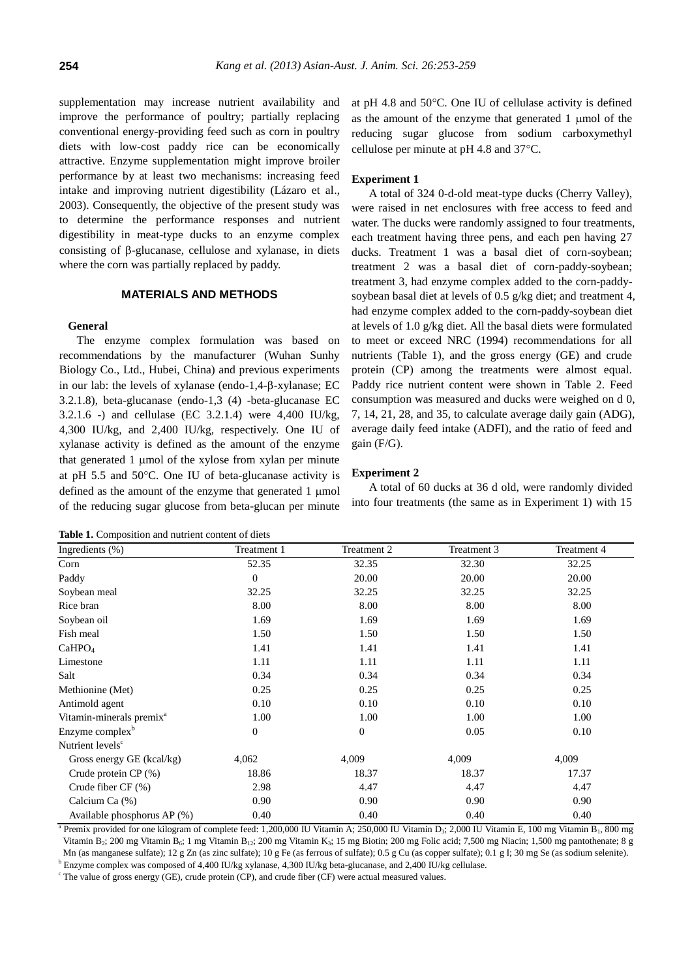supplementation may increase nutrient availability and improve the performance of poultry; partially replacing conventional energy-providing feed such as corn in poultry diets with low-cost paddy rice can be economically attractive. Enzyme supplementation might improve broiler performance by at least two mechanisms: increasing feed intake and improving nutrient digestibility (Lázaro et al., 2003). Consequently, the objective of the present study was to determine the performance responses and nutrient digestibility in meat-type ducks to an enzyme complex consisting of  $\beta$ -glucanase, cellulose and xylanase, in diets where the corn was partially replaced by paddy.

## **MATERIALS AND METHODS**

#### **General**

The enzyme complex formulation was based on recommendations by the manufacturer (Wuhan Sunhy Biology Co., Ltd., Hubei, China) and previous experiments in our lab: the levels of xylanase (endo-1,4- $\beta$ -xylanase; EC 3.2.1.8), beta-glucanase (endo-1,3 (4) -beta-glucanase EC 3.2.1.6 -) and cellulase (EC 3.2.1.4) were 4,400 IU/kg, 4,300 IU/kg, and 2,400 IU/kg, respectively. One IU of xylanase activity is defined as the amount of the enzyme that generated  $1 \mu$ mol of the xylose from xylan per minute at pH 5.5 and 50 $^{\circ}$ C. One IU of beta-glucanase activity is defined as the amount of the enzyme that generated 1 µmol of the reducing sugar glucose from beta-glucan per minute

| <b>Table 1.</b> Composition and nutrient content of diets |  |  |  |
|-----------------------------------------------------------|--|--|--|
|-----------------------------------------------------------|--|--|--|

at pH 4.8 and  $50^{\circ}$ C. One IU of cellulase activity is defined as the amount of the enzyme that generated  $1 \text{ }\mu\text{mol}$  of the reducing sugar glucose from sodium carboxymethyl cellulose per minute at  $pH$  4.8 and 37 $^{\circ}$ C.

#### **Experiment 1**

A total of 324 0-d-old meat-type ducks (Cherry Valley), were raised in net enclosures with free access to feed and water. The ducks were randomly assigned to four treatments, each treatment having three pens, and each pen having 27 ducks. Treatment 1 was a basal diet of corn-soybean; treatment 2 was a basal diet of corn-paddy-soybean; treatment 3, had enzyme complex added to the corn-paddysoybean basal diet at levels of 0.5 g/kg diet; and treatment 4, had enzyme complex added to the corn-paddy-soybean diet at levels of 1.0 g/kg diet. All the basal diets were formulated to meet or exceed NRC (1994) recommendations for all nutrients (Table 1), and the gross energy (GE) and crude protein (CP) among the treatments were almost equal. Paddy rice nutrient content were shown in Table 2. Feed consumption was measured and ducks were weighed on d 0, 7, 14, 21, 28, and 35, to calculate average daily gain (ADG), average daily feed intake (ADFI), and the ratio of feed and gain (F/G).

#### **Experiment 2**

A total of 60 ducks at 36 d old, were randomly divided into four treatments (the same as in Experiment 1) with 15

| Ingredients (%)                      | Treatment 1    | Treatment 2      | Treatment 3 | Treatment 4 |
|--------------------------------------|----------------|------------------|-------------|-------------|
| Corn                                 | 52.35          | 32.35            | 32.30       | 32.25       |
| Paddy                                | $\Omega$       | 20.00            | 20.00       | 20.00       |
| Soybean meal                         | 32.25          | 32.25            | 32.25       | 32.25       |
| Rice bran                            | 8.00           | 8.00             | 8.00        | 8.00        |
| Soybean oil                          | 1.69           | 1.69             | 1.69        | 1.69        |
| Fish meal                            | 1.50           | 1.50             | 1.50        | 1.50        |
| CaHPO <sub>4</sub>                   | 1.41           | 1.41             | 1.41        | 1.41        |
| Limestone                            | 1.11           | 1.11             | 1.11        | 1.11        |
| Salt                                 | 0.34           | 0.34             | 0.34        | 0.34        |
| Methionine (Met)                     | 0.25           | 0.25             | 0.25        | 0.25        |
| Antimold agent                       | 0.10           | 0.10             | 0.10        | 0.10        |
| Vitamin-minerals premix <sup>a</sup> | 1.00           | 1.00             | 1.00        | 1.00        |
| Enzyme complex <sup>b</sup>          | $\overline{0}$ | $\boldsymbol{0}$ | 0.05        | 0.10        |
| Nutrient levels <sup>c</sup>         |                |                  |             |             |
| Gross energy GE (kcal/kg)            | 4,062          | 4,009            | 4,009       | 4,009       |
| Crude protein $CP$ $(\%)$            | 18.86          | 18.37            | 18.37       | 17.37       |
| Crude fiber CF (%)                   | 2.98           | 4.47             | 4.47        | 4.47        |
| Calcium Ca (%)                       | 0.90           | 0.90             | 0.90        | 0.90        |
| Available phosphorus AP (%)          | 0.40           | 0.40             | 0.40        | 0.40        |

<sup>a</sup> Premix provided for one kilogram of complete feed: 1,200,000 IU Vitamin A; 250,000 IU Vitamin D<sub>3</sub>; 2,000 IU Vitamin E, 100 mg Vitamin B<sub>1</sub>, 800 mg Vitamin B<sub>2</sub>; 200 mg Vitamin B<sub>6</sub>; 1 mg Vitamin B<sub>12</sub>; 200 mg Vitamin K<sub>3</sub>; 15 mg Biotin; 200 mg Folic acid; 7,500 mg Niacin; 1,500 mg pantothenate; 8 g Mn (as manganese sulfate); 12 g Zn (as zinc sulfate); 10 g Fe (as ferrous of sulfate); 0.5 g Cu (as copper sulfate); 0.1 g I; 30 mg Se (as sodium selenite).

<sup>b</sup> Enzyme complex was composed of 4,400 IU/kg xylanase, 4,300 IU/kg beta-glucanase, and 2,400 IU/kg cellulase.

<sup>c</sup> The value of gross energy (GE), crude protein (CP), and crude fiber (CF) were actual measured values.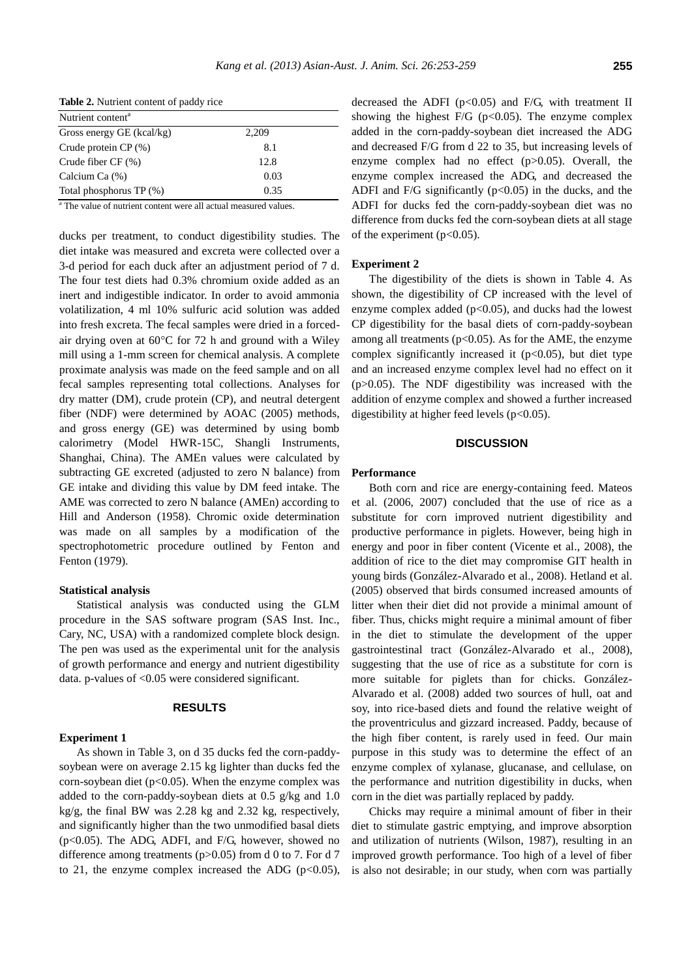| Nutrient content <sup>a</sup> |       |  |  |  |
|-------------------------------|-------|--|--|--|
| Gross energy GE (kcal/kg)     | 2,209 |  |  |  |
| Crude protein $CP$ $(\%)$     | 8.1   |  |  |  |
| Crude fiber $CF(%)$           | 12.8  |  |  |  |
| Calcium Ca (%)                | 0.03  |  |  |  |
| Total phosphorus TP (%)       | 0.35  |  |  |  |

**Table 2.** Nutrient content of paddy rice

<sup>a</sup> The value of nutrient content were all actual measured values.

ducks per treatment, to conduct digestibility studies. The diet intake was measured and excreta were collected over a 3-d period for each duck after an adjustment period of 7 d. The four test diets had 0.3% chromium oxide added as an inert and indigestible indicator. In order to avoid ammonia volatilization, 4 ml 10% sulfuric acid solution was added into fresh excreta. The fecal samples were dried in a forcedair drying oven at  $60^{\circ}$ C for 72 h and ground with a Wiley mill using a 1-mm screen for chemical analysis. A complete proximate analysis was made on the feed sample and on all fecal samples representing total collections. Analyses for dry matter (DM), crude protein (CP), and neutral detergent fiber (NDF) were determined by AOAC (2005) methods, and gross energy (GE) was determined by using bomb calorimetry (Model HWR-15C, Shangli Instruments, Shanghai, China). The AMEn values were calculated by subtracting GE excreted (adjusted to zero N balance) from GE intake and dividing this value by DM feed intake. The AME was corrected to zero N balance (AMEn) according to Hill and Anderson (1958). Chromic oxide determination was made on all samples by a modification of the spectrophotometric procedure outlined by Fenton and Fenton (1979).

# **Statistical analysis**

Statistical analysis was conducted using the GLM procedure in the SAS software program (SAS Inst. Inc., Cary, NC, USA) with a randomized complete block design. The pen was used as the experimental unit for the analysis of growth performance and energy and nutrient digestibility data. p-values of <0.05 were considered significant.

# **RESULTS**

# **Experiment 1**

As shown in Table 3, on d 35 ducks fed the corn-paddysoybean were on average 2.15 kg lighter than ducks fed the corn-soybean diet ( $p<0.05$ ). When the enzyme complex was added to the corn-paddy-soybean diets at 0.5 g/kg and 1.0 kg/g, the final BW was 2.28 kg and 2.32 kg, respectively, and significantly higher than the two unmodified basal diets (p<0.05). The ADG, ADFI, and F/G, however, showed no difference among treatments (p>0.05) from d 0 to 7. For d 7 to 21, the enzyme complex increased the ADG ( $p<0.05$ ),

decreased the ADFI ( $p<0.05$ ) and F/G, with treatment II showing the highest  $F/G$  (p<0.05). The enzyme complex added in the corn-paddy-soybean diet increased the ADG and decreased F/G from d 22 to 35, but increasing levels of enzyme complex had no effect (p>0.05). Overall, the enzyme complex increased the ADG, and decreased the ADFI and F/G significantly  $(p<0.05)$  in the ducks, and the ADFI for ducks fed the corn-paddy-soybean diet was no difference from ducks fed the corn-soybean diets at all stage of the experiment ( $p<0.05$ ).

## **Experiment 2**

The digestibility of the diets is shown in Table 4. As shown, the digestibility of CP increased with the level of enzyme complex added ( $p<0.05$ ), and ducks had the lowest CP digestibility for the basal diets of corn-paddy-soybean among all treatments ( $p<0.05$ ). As for the AME, the enzyme complex significantly increased it  $(p<0.05)$ , but diet type and an increased enzyme complex level had no effect on it  $(p>0.05)$ . The NDF digestibility was increased with the addition of enzyme complex and showed a further increased digestibility at higher feed levels  $(p<0.05)$ .

## **DISCUSSION**

#### **Performance**

Both corn and rice are energy-containing feed. Mateos et al. (2006, 2007) concluded that the use of rice as a substitute for corn improved nutrient digestibility and productive performance in piglets. However, being high in energy and poor in fiber content (Vicente et al., 2008), the addition of rice to the diet may compromise GIT health in young birds (González-Alvarado et al., 2008). Hetland et al. (2005) observed that birds consumed increased amounts of litter when their diet did not provide a minimal amount of fiber. Thus, chicks might require a minimal amount of fiber in the diet to stimulate the development of the upper gastrointestinal tract (González-Alvarado et al., 2008), suggesting that the use of rice as a substitute for corn is more suitable for piglets than for chicks. González-Alvarado et al. (2008) added two sources of hull, oat and soy, into rice-based diets and found the relative weight of the proventriculus and gizzard increased. Paddy, because of the high fiber content, is rarely used in feed. Our main purpose in this study was to determine the effect of an enzyme complex of xylanase, glucanase, and cellulase, on the performance and nutrition digestibility in ducks, when corn in the diet was partially replaced by paddy.

Chicks may require a minimal amount of fiber in their diet to stimulate gastric emptying, and improve absorption and utilization of nutrients (Wilson, 1987), resulting in an improved growth performance. Too high of a level of fiber is also not desirable; in our study, when corn was partially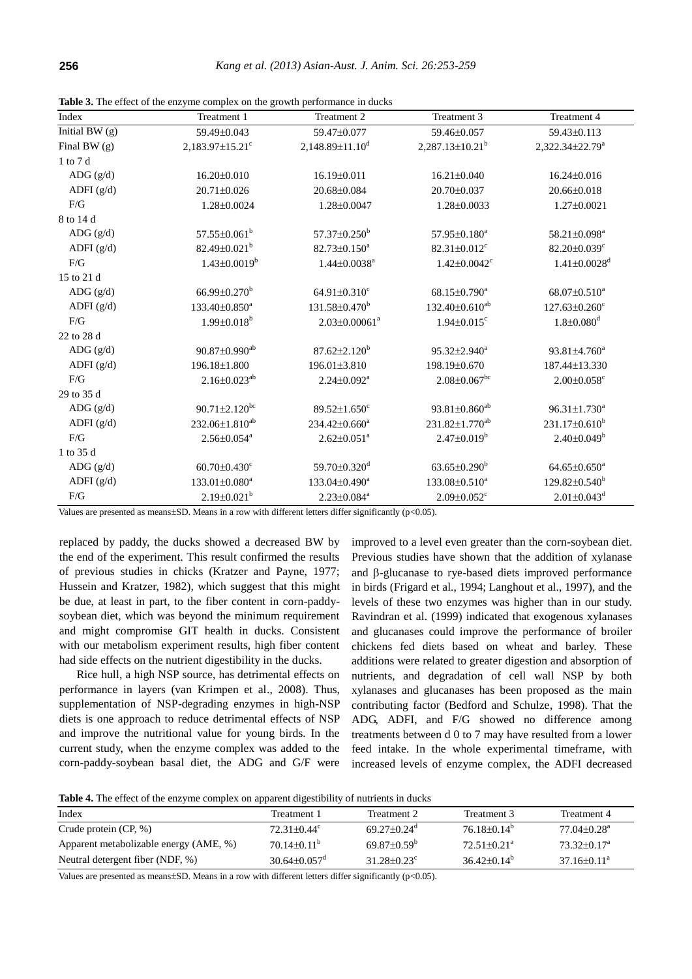| Index          | Treatment 1                       | Treatment 2                       | Treatment 3                    | Treatment 4                     |
|----------------|-----------------------------------|-----------------------------------|--------------------------------|---------------------------------|
| Initial BW (g) | 59.49±0.043                       | 59.47±0.077                       | 59.46±0.057                    | 59.43±0.113                     |
| Final BW $(g)$ | $2,183.97 \pm 15.21$ <sup>c</sup> | $2,148.89 \pm 11.10$ <sup>d</sup> | $2,287.13 \pm 10.21^b$         | 2,322.34±22.79 <sup>a</sup>     |
| 1 to 7 d       |                                   |                                   |                                |                                 |
| ADG $(g/d)$    | 16.20±0.010                       | 16.19±0.011                       | 16.21±0.040                    | $16.24 \pm 0.016$               |
| ADFI $(g/d)$   | 20.71±0.026                       | 20.68±0.084                       | 20.70±0.037                    | 20.66±0.018                     |
| F/G            | 1.28±0.0024                       | 1.28±0.0047                       | 1.28±0.0033                    | $1.27 \pm 0.0021$               |
| 8 to 14 d      |                                   |                                   |                                |                                 |
| ADG $(g/d)$    | $57.55 \pm 0.061^b$               | $57.37 \pm 0.250^b$               | 57.95±0.180 <sup>a</sup>       | 58.21±0.098 <sup>a</sup>        |
| ADFI $(g/d)$   | 82.49±0.021 <sup>b</sup>          | 82.73±0.150 <sup>a</sup>          | 82.31±0.012 <sup>c</sup>       | 82.20±0.039 <sup>c</sup>        |
| F/G            | $1.43 \pm 0.0019^b$               | $1.44 \pm 0.0038$ <sup>a</sup>    | $1.42 \pm 0.0042$ <sup>c</sup> | $1.41 \pm 0.0028$ <sup>d</sup>  |
| 15 to 21 d     |                                   |                                   |                                |                                 |
| ADG $(g/d)$    | $66.99 \pm 0.270^b$               | 64.91 $\pm$ 0.310 $^{\circ}$      | $68.15 \pm 0.790^a$            | $68.07 \pm 0.510^a$             |
| ADFI $(g/d)$   | $133.40 \pm 0.850^a$              | 131.58±0.470 <sup>b</sup>         | $132.40 \pm 0.610^{ab}$        | $127.63 \pm 0.260$ <sup>c</sup> |
| F/G            | $1.99 \pm 0.018^b$                | $2.03 \pm 0.00061^a$              | $1.94 \pm 0.015$ <sup>c</sup>  | $1.8 \pm 0.080$ <sup>d</sup>    |
| 22 to 28 d     |                                   |                                   |                                |                                 |
| ADG $(g/d)$    | $90.87 \pm 0.990$ <sup>ab</sup>   | $87.62 \pm 2.120^b$               | $95.32 \pm 2.940^a$            | $93.81 \pm 4.760^a$             |
| ADFI $(g/d)$   | 196.18±1.800                      | 196.01±3.810                      | 198.19±0.670                   | 187.44±13.330                   |
| F/G            | $2.16 \pm 0.023^{ab}$             | $2.24 \pm 0.092^a$                | $2.08 \pm 0.067$ <sup>bc</sup> | $2.00 \pm 0.058$ <sup>c</sup>   |
| 29 to 35 d     |                                   |                                   |                                |                                 |
| ADG $(g/d)$    | $90.71 \pm 2.120$ <sup>bc</sup>   | $89.52 \pm 1.650$ <sup>c</sup>    | $93.81 \pm 0.860^{ab}$         | $96.31 \pm 1.730^a$             |
| ADFI $(g/d)$   | 232.06±1.810 <sup>ab</sup>        | $234.42 \pm 0.660^a$              | 231.82±1.770 <sup>ab</sup>     | $231.17\pm0.610^b$              |
| F/G            | $2.56 \pm 0.054$ <sup>a</sup>     | $2.62 \pm 0.051$ <sup>a</sup>     | $2.47 \pm 0.019^b$             | $2.40\pm0.049^b$                |
| 1 to 35 d      |                                   |                                   |                                |                                 |
| ADG $(g/d)$    | $60.70 \pm 0.430$ <sup>c</sup>    | 59.70±0.320 <sup>d</sup>          | $63.65 \pm 0.290^b$            | $64.65 \pm 0.650^a$             |
| ADFI $(g/d)$   | $133.01 \pm 0.080^a$              | 133.04±0.490 <sup>a</sup>         | 133.08±0.510 <sup>a</sup>      | $129.82 \pm 0.540^b$            |
| $\rm F/G$      | $2.19\pm0.021^b$                  | $2.23 \pm 0.084$ <sup>a</sup>     | $2.09 \pm 0.052$ <sup>c</sup>  | $2.01 \pm 0.043$ <sup>d</sup>   |

**Table 3.** The effect of the enzyme complex on the growth performance in ducks

Values are presented as means $\pm$ SD. Means in a row with different letters differ significantly (p<0.05).

replaced by paddy, the ducks showed a decreased BW by the end of the experiment. This result confirmed the results of previous studies in chicks (Kratzer and Payne, 1977; Hussein and Kratzer, 1982), which suggest that this might be due, at least in part, to the fiber content in corn-paddysoybean diet, which was beyond the minimum requirement and might compromise GIT health in ducks. Consistent with our metabolism experiment results, high fiber content had side effects on the nutrient digestibility in the ducks.

Rice hull, a high NSP source, has detrimental effects on performance in layers (van Krimpen et al., 2008). Thus, supplementation of NSP-degrading enzymes in high-NSP diets is one approach to reduce detrimental effects of NSP and improve the nutritional value for young birds. In the current study, when the enzyme complex was added to the corn-paddy-soybean basal diet, the ADG and G/F were improved to a level even greater than the corn-soybean diet. Previous studies have shown that the addition of xylanase and  $\beta$ -glucanase to rye-based diets improved performance in birds (Frigard et al., 1994; Langhout et al., 1997), and the levels of these two enzymes was higher than in our study. Ravindran et al. (1999) indicated that exogenous xylanases and glucanases could improve the performance of broiler chickens fed diets based on wheat and barley. These additions were related to greater digestion and absorption of nutrients, and degradation of cell wall NSP by both xylanases and glucanases has been proposed as the main contributing factor (Bedford and Schulze, 1998). That the ADG, ADFI, and F/G showed no difference among treatments between d 0 to 7 may have resulted from a lower feed intake. In the whole experimental timeframe, with increased levels of enzyme complex, the ADFI decreased

**Table 4.** The effect of the enzyme complex on apparent digestibility of nutrients in ducks

| Index                                  | Treatment 1                    | Treatment 2                   | Treatment 3                   | Treatment 4                   |
|----------------------------------------|--------------------------------|-------------------------------|-------------------------------|-------------------------------|
| Crude protein $(CP, %)$                | $72.31 \pm 0.44$ °             | $69.27 \pm 0.24$ <sup>d</sup> | $76.18\pm0.14^b$              | $77.04 \pm 0.28$ <sup>a</sup> |
| Apparent metabolizable energy (AME, %) | $70.14 \pm 0.11^{\mathrm{b}}$  | $69.87 \pm 0.59^{\circ}$      | $72.51 \pm 0.21$ <sup>a</sup> | $73.32 \pm 0.17^{\circ}$      |
| Neutral detergent fiber (NDF, %)       | $30.64 \pm 0.057$ <sup>d</sup> | $31.28 + 0.23^c$              | $36.42 \pm 0.14^b$            | $37.16 \pm 0.11^{\circ}$      |

Values are presented as means $\pm$ SD. Means in a row with different letters differ significantly (p<0.05).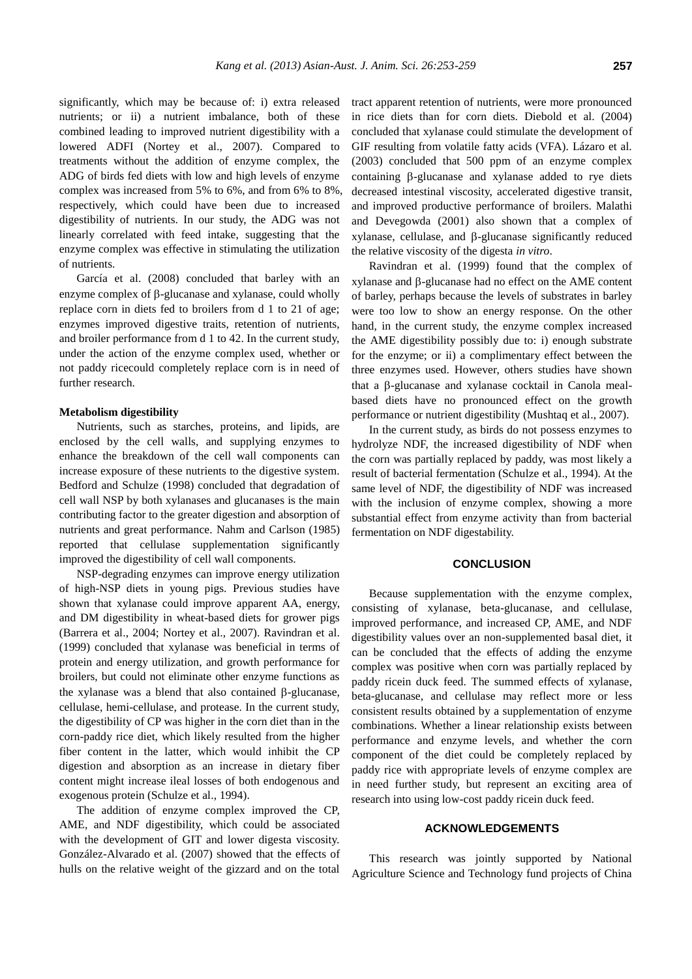significantly, which may be because of: i) extra released nutrients; or ii) a nutrient imbalance, both of these combined leading to improved nutrient digestibility with a lowered ADFI (Nortey et al., 2007). Compared to treatments without the addition of enzyme complex, the ADG of birds fed diets with low and high levels of enzyme complex was increased from 5% to 6%, and from 6% to 8%, respectively, which could have been due to increased digestibility of nutrients. In our study, the ADG was not linearly correlated with feed intake, suggesting that the enzyme complex was effective in stimulating the utilization of nutrients.

García et al. (2008) concluded that barley with an enzyme complex of  $\beta$ -glucanase and xylanase, could wholly replace corn in diets fed to broilers from d 1 to 21 of age; enzymes improved digestive traits, retention of nutrients, and broiler performance from d 1 to 42. In the current study, under the action of the enzyme complex used, whether or not paddy ricecould completely replace corn is in need of further research.

# **Metabolism digestibility**

Nutrients, such as starches, proteins, and lipids, are enclosed by the cell walls, and supplying enzymes to enhance the breakdown of the cell wall components can increase exposure of these nutrients to the digestive system. Bedford and Schulze (1998) concluded that degradation of cell wall NSP by both xylanases and glucanases is the main contributing factor to the greater digestion and absorption of nutrients and great performance. [Nahm](http://ps.fass.org/search?author1=KEE+H.+NAHM&sortspec=date&submit=Submit) and [Carlson](http://ps.fass.org/search?author1=C.+W.+CARLSON&sortspec=date&submit=Submit) (1985) reported that cellulase supplementation significantly improved the digestibility of cell wall components.

NSP-degrading enzymes can improve energy utilization of high-NSP diets in young pigs. Previous studies have shown that xylanase could improve apparent AA, energy, and DM digestibility in wheat-based diets for grower pigs (Barrera et al., 2004; Nortey et al., 2007). Ravindran et al. (1999) concluded that xylanase was beneficial in terms of protein and energy utilization, and growth performance for broilers, but could not eliminate other enzyme functions as the xylanase was a blend that also contained  $\beta$ -glucanase, cellulase, hemi-cellulase, and protease. In the current study, the digestibility of CP was higher in the corn diet than in the corn-paddy rice diet, which likely resulted from the higher fiber content in the latter, which would inhibit the CP digestion and absorption as an increase in dietary fiber content might increase ileal losses of both endogenous and exogenous protein (Schulze et al., 1994).

The addition of enzyme complex improved the CP, AME, and NDF digestibility, which could be associated [with](http://www.iciba.com/with/) the development of GIT and lower digesta viscosity. González-Alvarado et al. (2007) showed that the effects of hulls on the relative weight of the gizzard and on the total

tract apparent retention of nutrients, were more pronounced in rice diets than for corn diets. Diebold et al. (2004) concluded that xylanase could stimulate the development of GIF resulting from volatile fatty acids (VFA). Lázaro et al. (2003) concluded that 500 ppm of an enzyme complex containing  $\beta$ -glucanase and xylanase added to rye diets decreased intestinal viscosity, accelerated digestive transit, and improved productive performance of broilers. Malathi and Devegowda (2001) also shown that a complex of  $x$ ylanase, cellulase, and  $\beta$ -glucanase significantly reduced the relative viscosity of the digesta *in vitro*.

Ravindran et al. (1999) found that the complex of  $x$ ylanase and  $\beta$ -glucanase had no effect on the AME content of barley, perhaps because the levels of substrates in barley were too low to show an energy response. On the other hand, in the current study, the enzyme complex increased the AME digestibility possibly due to: i) enough substrate for the enzyme; or ii) a complimentary effect between the three enzymes used. However, others studies have shown that a  $\beta$ -glucanase and xylanase cocktail in Canola mealbased diets have no pronounced effect on the growth performance or nutrient digestibility (Mushtaq et al., 2007).

In the current study, as birds do not possess enzymes to hydrolyze NDF, the increased digestibility of NDF when the corn was partially replaced by paddy, was most likely a result of bacterial fermentation (Schulze et al., 1994). At the same level of NDF, the digestibility of NDF was increased with the inclusion of enzyme complex, showing a more substantial effect from enzyme activity than from bacterial fermentation on NDF digestability.

# **CONCLUSION**

Because supplementation with the enzyme complex, consisting of xylanase, beta-glucanase, and cellulase, improved performance, and increased CP, AME, and NDF digestibility values over an non-supplemented basal diet, it can be concluded that the effects of adding the enzyme complex was positive when corn was partially replaced by paddy ricein duck feed. The summed effects of xylanase, beta-glucanase, and cellulase may reflect more or less consistent results obtained by a supplementation of enzyme combinations. Whether a linear relationship exists between performance and enzyme levels, and whether the corn component of the diet could be completely replaced by paddy rice with appropriate levels of enzyme complex are in need further study, but represent an exciting area of research into using low-cost paddy ricein duck feed.

#### **ACKNOWLEDGEMENTS**

This research was jointly supported by National Agriculture Science and Technology fund projects of China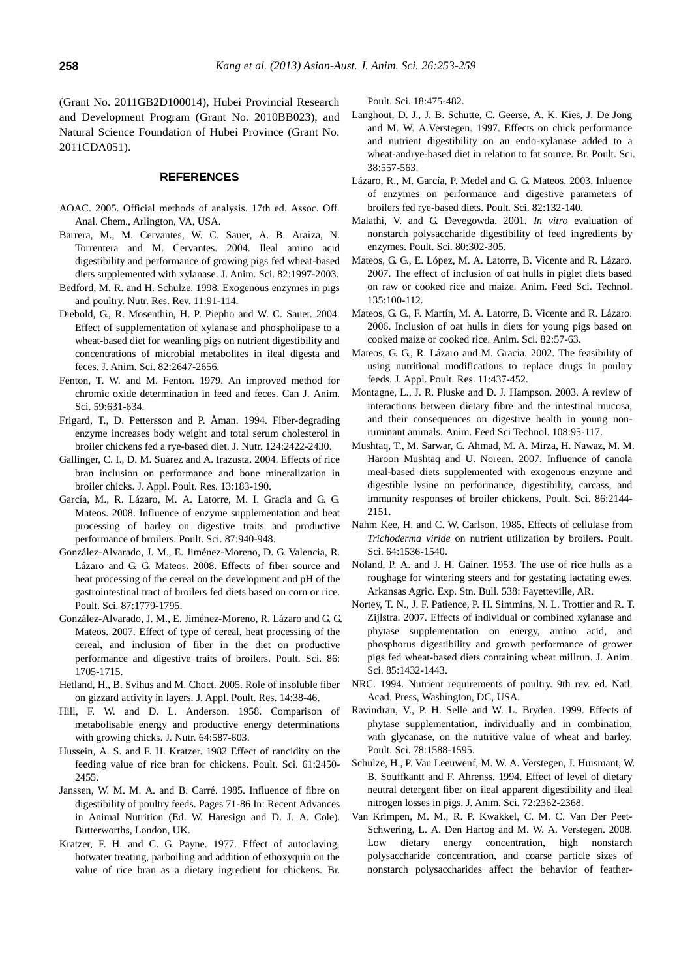(Grant No. 2011GB2D100014), Hubei Provincial Research and Development Program (Grant No. 2010BB023), and Natural Science Foundation of Hubei Province (Grant No. 2011CDA051).

## **REFERENCES**

- AOAC. 2005. Official methods of analysis. 17th ed. Assoc. Off. Anal. Chem., Arlington, VA, USA.
- Barrera, M., M. Cervantes, W. C. Sauer, A. B. Araiza, N. Torrentera and M. Cervantes. 2004. Ileal amino acid digestibility and performance of growing pigs fed wheat-based diets supplemented with xylanase. J. Anim. Sci. 82:1997-2003.
- Bedford, M. R. and H. Schulze. 1998. Exogenous enzymes in pigs and poultry. Nutr. Res. Rev. 11:91-114.
- Diebold, G., R. Mosenthin, H. P. Piepho and W. C. Sauer. 2004. Effect of supplementation of xylanase and phospholipase to a wheat-based diet for weanling pigs on nutrient digestibility and concentrations of microbial metabolites in ileal digesta and feces. J. Anim. Sci. 82:2647-2656.
- Fenton, T. W. and M. Fenton. 1979. An improved method for chromic oxide determination in feed and feces. [Can J.](http://www.google.com.hk/url?sa=t&rct=j&q=Can.+J.+Anim.+Sci.&source=web&cd=2&ved=0CCkQFjAB&url=http%3A%2F%2Fpubs.aic.ca%2Fcjas&ei=d_LNTqajKqSViAfkyPHWDg&usg=AFQjCNFNzNGFFtUUvhpyR7fNM0RmBnCxWw) Anim. [Sci.](http://www.google.com.hk/url?sa=t&rct=j&q=Can.+J.+Anim.+Sci.&source=web&cd=2&ved=0CCkQFjAB&url=http%3A%2F%2Fpubs.aic.ca%2Fcjas&ei=d_LNTqajKqSViAfkyPHWDg&usg=AFQjCNFNzNGFFtUUvhpyR7fNM0RmBnCxWw) 59:631-634.
- Frigard, T., D. Pettersson and P. Å man. 1994. Fiber-degrading enzyme increases body weight and total serum cholesterol in broiler chickens fed a rye-based diet. J. Nutr. 124:2422-2430.
- Gallinger, C. I., D. M. Suárez and A. Irazusta. 2004. Effects of rice bran inclusion on performance and bone mineralization in broiler chicks. J. Appl. [Poult.](http://www.google.com.hk/url?sa=t&rct=j&q=J.+Appl.+Poult.+Res.+&source=web&cd=1&ved=0CCgQFjAA&url=http%3A%2F%2Fjapr.fass.org%2F&ei=7_LNTtbYFcyXiQfbqJC1Dg&usg=AFQjCNHstGloT73wmTICT3UBxS09M7laTg) Res. 13:183-190.
- García, M., R. Lázaro, M. A. Latorre, M. I. Gracia and G. G. Mateos. 2008. Influence of enzyme supplementation and heat processing of barley on digestive traits and productive performance of broilers. Poult. Sci. 87:940-948.
- González-Alvarado, J. M., E. Jiménez-Moreno, D. G. Valencia, R. Lázaro and G. G. Mateos. 2008. Effects of fiber source and heat processing of the cereal on the development and pH of the gastrointestinal tract of broilers fed diets based on corn or rice. Poult. Sci. 87:1779-1795.
- González-Alvarado, J. M., E. Jiménez-Moreno, R. Lázaro and G. G. Mateos. 2007. Effect of type of cereal, heat processing of the cereal, and inclusion of fiber in the diet on productive performance and digestive traits of broilers. Poult. Sci. 86: 1705-1715.
- Hetland, H., B. Svihus and M. Choct. 2005. Role of insoluble fiber on gizzard activity in layers. J. Appl. [Poult.](http://www.google.com.hk/url?sa=t&rct=j&q=J.+Appl.+Poult.+Res.+&source=web&cd=1&ved=0CCgQFjAA&url=http%3A%2F%2Fjapr.fass.org%2F&ei=7_LNTtbYFcyXiQfbqJC1Dg&usg=AFQjCNHstGloT73wmTICT3UBxS09M7laTg) Res. 14:38-46.
- Hill, F. W. and D. L. Anderson. 1958. Comparison of metabolisable energy and productive energy determinations with growing chicks. J. Nutr. 64:587-603.
- Hussein, A. S. and F. H. Kratzer. 1982 Effect of rancidity on the feeding value of rice bran for chickens. Poult. Sci. 61:2450- 2455.
- Janssen, W. M. M. A. and B. Carré. 1985. Influence of fibre on digestibility of poultry feeds. Pages 71-86 In: Recent Advances in Animal Nutrition (Ed. W. Haresign and D. J. A. Cole). Butterworths, London, UK.
- Kratzer, F. H. and C. G. Payne. 1977. Effect of autoclaving, hotwater treating, parboiling and addition of ethoxyquin on the value of rice bran as a dietary ingredient for chickens. Br.

Poult. Sci. 18:475-482.

- Langhout, D. J., J. B. Schutte, C. Geerse, A. K. Kies, J. De Jong and M. W. A.Verstegen. 1997. Effects on chick performance and nutrient digestibility on an endo-xylanase added to a wheat-andrye-based diet in relation to fat source. Br. Poult. Sci. 38:557-563.
- Lázaro, R., M. García, P. Medel and G. G. Mateos. 2003. Inluence of enzymes on performance and digestive parameters of broilers fed rye-based diets. Poult. Sci. 82:132-140.
- Malathi, V. and G. Devegowda. 2001. *In vitro* evaluation of nonstarch polysaccharide digestibility of feed ingredients by enzymes. Poult. Sci. 80:302-305.
- Mateos, G. G., E. López, M. A. Latorre, B. Vicente and R. Lázaro. 2007. The effect of inclusion of oat hulls in piglet diets based on raw or cooked rice and maize. Anim. Feed Sci. Technol. 135:100-112.
- Mateos, G. G., F. Martín, M. A. Latorre, B. Vicente and R. Lázaro. 2006. Inclusion of oat hulls in diets for young pigs based on cooked maize or cooked rice. Anim. Sci. 82:57-63.
- Mateos, G. G., R. Lázaro and M. Gracia. 2002. The feasibility of using nutritional modifications to replace drugs in poultry feeds. J. Appl. [Poult.](http://www.google.com.hk/url?sa=t&rct=j&q=J.+Appl.+Poult.+Res.+&source=web&cd=1&ved=0CCgQFjAA&url=http%3A%2F%2Fjapr.fass.org%2F&ei=7_LNTtbYFcyXiQfbqJC1Dg&usg=AFQjCNHstGloT73wmTICT3UBxS09M7laTg) Res. 11:437-452.
- Montagne, L., J. R. Pluske and D. J. Hampson. 2003. A review of interactions between dietary fibre and the intestinal mucosa, and their consequences on digestive health in young nonruminant animals. Anim. Feed Sci Technol. 108:95-117.
- Mushtaq, T., M. Sarwar, G. Ahmad, M. A. Mirza, H. Nawaz, M. M. Haroon Mushtaq and U. Noreen. 2007. Influence of canola meal-based diets supplemented with exogenous enzyme and digestible lysine on performance, digestibility, carcass, and immunity responses of broiler chickens. Poult. Sci. 86:2144- 2151.
- Nahm [Kee, H. a](http://ps.fass.org/search?author1=KEE+H.+NAHM&sortspec=date&submit=Submit)nd C. W. Carlson. 1985. Effects of cellulase from *Trichoderma viride* on nutrient utilization by broiler[s.](http://ps.fass.org/content/64/8/1536.abstract?maxtoshow=&HITS=10&hits=10&RESULTFORMAT=&fulltext=cellulase%252Cfiber&andorexactfulltext=and&searchid=1&FIRSTINDEX=10&resourcetype=HWCIT#fn-1#fn-1) Poult. Sci. 64:1536-1540.
- Noland, P. A. and J. H. Gainer. 1953. The use of rice hulls as a roughage for wintering steers and for gestating lactating ewes. Arkansas Agric. Exp. Stn. Bull. 538: Fayetteville, AR.
- Nortey, T. N., J. F. Patience, P. H. Simmins, N. L. Trottier and R. T. Zijlstra. 2007. Effects of individual or combined xylanase and phytase supplementation on energy, amino acid, and phosphorus digestibility and growth performance of grower pigs fed wheat-based diets containing wheat millrun. J. Anim. Sci. 85:1432-1443.
- NRC. 1994. Nutrient requirements of poultry. 9th rev. ed. Natl. Acad. Press, Washington, DC, USA.
- Ravindran, V., P. H. Selle and W. L. Bryden. 1999. Effects of phytase supplementation, individually and in combination, with glycanase, on the nutritive value of wheat and barley. Poult. Sci. 78:1588-1595.
- Schulze, H., P. Van Leeuwenf, M. W. A. Verstegen, J. Huismant, W. B. Souffkantt and F. Ahrenss. 1994. Effect of level of dietary neutral detergent fiber on ileal apparent digestibility and ileal nitrogen losses in pigs. J. Anim. Sci. 72:2362-2368.
- Van Krimpen, M. M., R. P. Kwakkel, C. M. C. [Van Der Peet-](http://ps.fass.org/search?author1=C.+M.+C.+van+der+Peet-Schwering&sortspec=date&submit=Submit)[Schwering,](http://ps.fass.org/search?author1=C.+M.+C.+van+der+Peet-Schwering&sortspec=date&submit=Submit) L. A. Den Hartog and M. W. A. Verstegen. 2008. Low dietary energy concentration, high nonstarch polysaccharide concentration, and coarse particle sizes of nonstarch polysaccharides affect the behavior of feather-